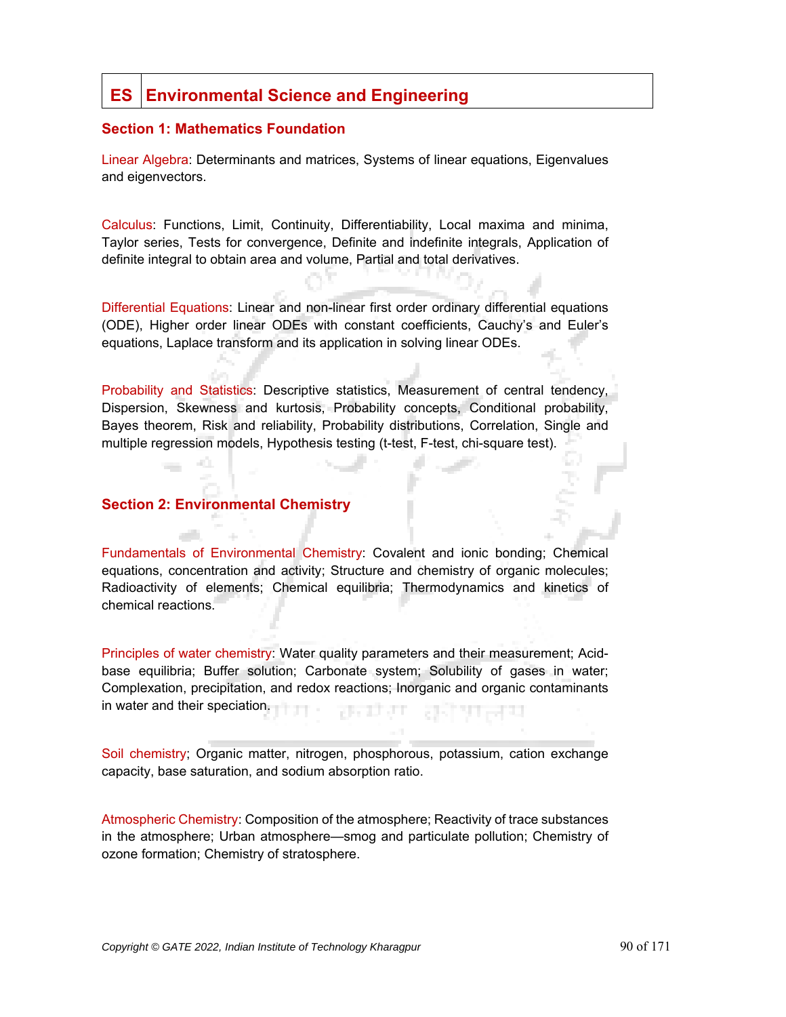# **ES Environmental Science and Engineering**

#### **Section 1: Mathematics Foundation**

Linear Algebra: Determinants and matrices, Systems of linear equations, Eigenvalues and eigenvectors.

Calculus: Functions, Limit, Continuity, Differentiability, Local maxima and minima, Taylor series, Tests for convergence, Definite and indefinite integrals, Application of definite integral to obtain area and volume, Partial and total derivatives.

Differential Equations: Linear and non-linear first order ordinary differential equations (ODE), Higher order linear ODEs with constant coefficients, Cauchy's and Euler's equations, Laplace transform and its application in solving linear ODEs.

Probability and Statistics: Descriptive statistics, Measurement of central tendency, Dispersion, Skewness and kurtosis, Probability concepts, Conditional probability, Bayes theorem, Risk and reliability, Probability distributions, Correlation, Single and multiple regression models, Hypothesis testing (t-test, F-test, chi-square test).

## **Section 2: Environmental Chemistry**

40.

Fundamentals of Environmental Chemistry: Covalent and ionic bonding; Chemical equations, concentration and activity; Structure and chemistry of organic molecules; Radioactivity of elements; Chemical equilibria; Thermodynamics and kinetics of chemical reactions.

Principles of water chemistry: Water quality parameters and their measurement; Acidbase equilibria; Buffer solution; Carbonate system; Solubility of gases in water; Complexation, precipitation, and redox reactions; Inorganic and organic contaminants in water and their speciation. 78 T 37 T

Soil chemistry; Organic matter, nitrogen, phosphorous, potassium, cation exchange capacity, base saturation, and sodium absorption ratio.

Atmospheric Chemistry: Composition of the atmosphere; Reactivity of trace substances in the atmosphere; Urban atmosphere—smog and particulate pollution; Chemistry of ozone formation; Chemistry of stratosphere.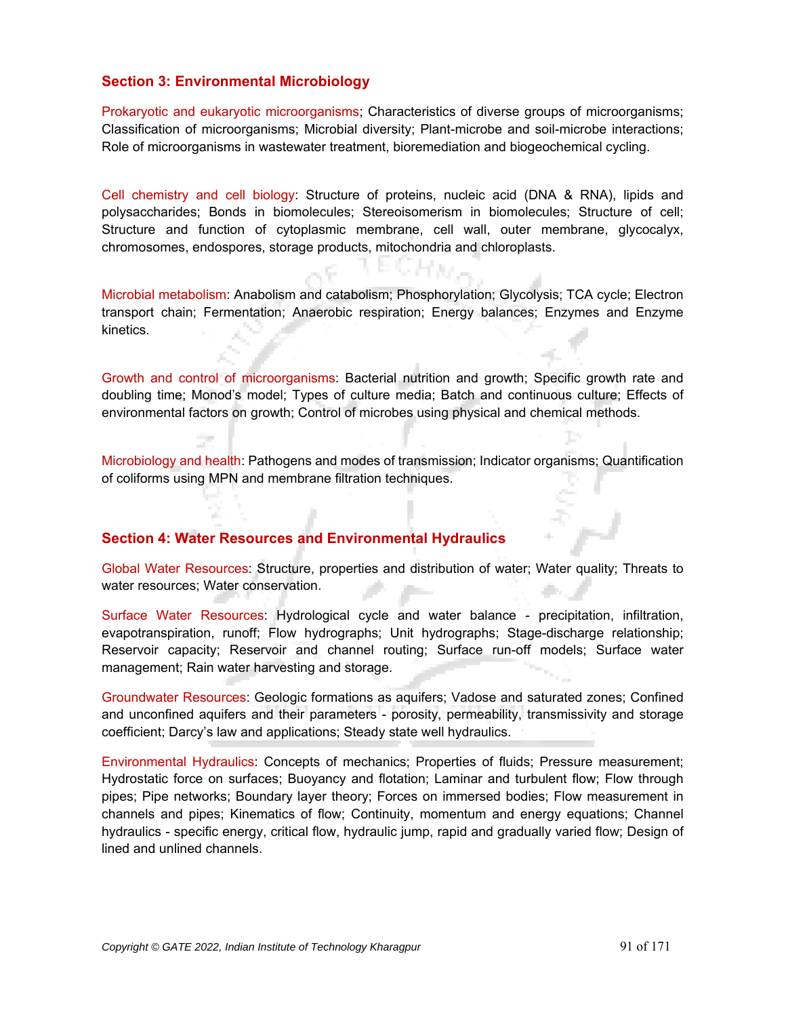# **Section 3: Environmental Microbiology**

Prokaryotic and eukaryotic microorganisms; Characteristics of diverse groups of microorganisms; Classification of microorganisms; Microbial diversity; Plant-microbe and soil-microbe interactions; Role of microorganisms in wastewater treatment, bioremediation and biogeochemical cycling.

Cell chemistry and cell biology: Structure of proteins, nucleic acid (DNA & RNA), lipids and polysaccharides; Bonds in biomolecules; Stereoisomerism in biomolecules; Structure of cell; Structure and function of cytoplasmic membrane, cell wall, outer membrane, glycocalyx, chromosomes, endospores, storage products, mitochondria and chloroplasts.

Microbial metabolism: Anabolism and catabolism; Phosphorylation; Glycolysis; TCA cycle; Electron transport chain; Fermentation; Anaerobic respiration; Energy balances; Enzymes and Enzyme kinetics.

Growth and control of microorganisms: Bacterial nutrition and growth; Specific growth rate and doubling time; Monod's model; Types of culture media; Batch and continuous culture; Effects of environmental factors on growth; Control of microbes using physical and chemical methods.

Microbiology and health: Pathogens and modes of transmission; Indicator organisms; Quantification of coliforms using MPN and membrane filtration techniques.

## **Section 4: Water Resources and Environmental Hydraulics**

Global Water Resources: Structure, properties and distribution of water; Water quality; Threats to water resources; Water conservation.

Surface Water Resources: Hydrological cycle and water balance - precipitation, infiltration, evapotranspiration, runoff; Flow hydrographs; Unit hydrographs; Stage-discharge relationship; Reservoir capacity; Reservoir and channel routing; Surface run-off models; Surface water management; Rain water harvesting and storage.

Groundwater Resources: Geologic formations as aquifers; Vadose and saturated zones; Confined and unconfined aquifers and their parameters - porosity, permeability, transmissivity and storage coefficient; Darcy's law and applications; Steady state well hydraulics.

Environmental Hydraulics: Concepts of mechanics; Properties of fluids; Pressure measurement; Hydrostatic force on surfaces; Buoyancy and flotation; Laminar and turbulent flow; Flow through pipes; Pipe networks; Boundary layer theory; Forces on immersed bodies; Flow measurement in channels and pipes; Kinematics of flow; Continuity, momentum and energy equations; Channel hydraulics - specific energy, critical flow, hydraulic jump, rapid and gradually varied flow; Design of lined and unlined channels.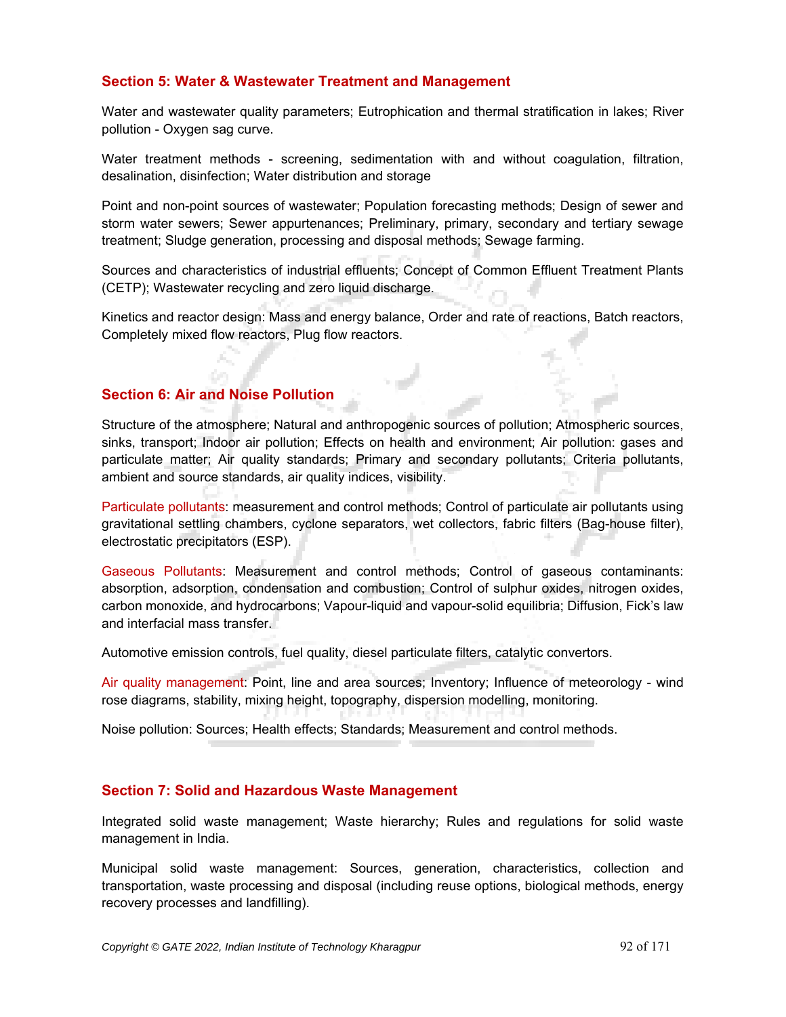# **Section 5: Water & Wastewater Treatment and Management**

Water and wastewater quality parameters; Eutrophication and thermal stratification in lakes; River pollution - Oxygen sag curve.

Water treatment methods - screening, sedimentation with and without coagulation, filtration, desalination, disinfection; Water distribution and storage

Point and non-point sources of wastewater; Population forecasting methods; Design of sewer and storm water sewers; Sewer appurtenances; Preliminary, primary, secondary and tertiary sewage treatment; Sludge generation, processing and disposal methods; Sewage farming.

Sources and characteristics of industrial effluents; Concept of Common Effluent Treatment Plants (CETP); Wastewater recycling and zero liquid discharge.

Kinetics and reactor design: Mass and energy balance, Order and rate of reactions, Batch reactors, Completely mixed flow reactors, Plug flow reactors.

## **Section 6: Air and Noise Pollution**

Structure of the atmosphere; Natural and anthropogenic sources of pollution; Atmospheric sources, sinks, transport; Indoor air pollution; Effects on health and environment; Air pollution: gases and particulate matter; Air quality standards; Primary and secondary pollutants; Criteria pollutants, ambient and source standards, air quality indices, visibility.

Particulate pollutants: measurement and control methods; Control of particulate air pollutants using gravitational settling chambers, cyclone separators, wet collectors, fabric filters (Bag-house filter), electrostatic precipitators (ESP).

Gaseous Pollutants: Measurement and control methods; Control of gaseous contaminants: absorption, adsorption, condensation and combustion; Control of sulphur oxides, nitrogen oxides, carbon monoxide, and hydrocarbons; Vapour-liquid and vapour-solid equilibria; Diffusion, Fick's law and interfacial mass transfer.

Automotive emission controls, fuel quality, diesel particulate filters, catalytic convertors.

Air quality management: Point, line and area sources; Inventory; Influence of meteorology - wind rose diagrams, stability, mixing height, topography, dispersion modelling, monitoring.

Noise pollution: Sources; Health effects; Standards; Measurement and control methods.

## **Section 7: Solid and Hazardous Waste Management**

Integrated solid waste management; Waste hierarchy; Rules and regulations for solid waste management in India.

Municipal solid waste management: Sources, generation, characteristics, collection and transportation, waste processing and disposal (including reuse options, biological methods, energy recovery processes and landfilling).